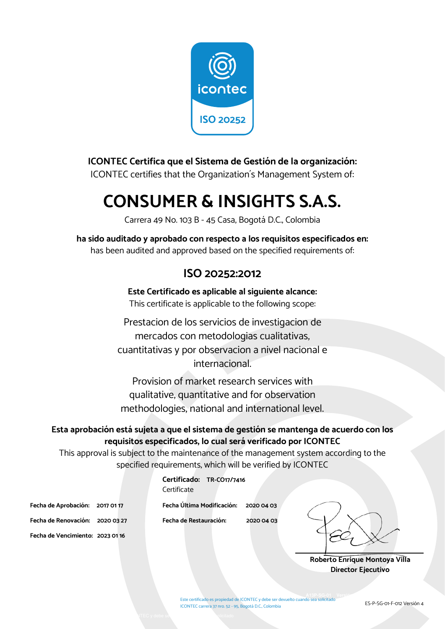

#### **ICONTEC Certifica que el Sistema de Gestión de la organización:**

ICONTEC certifies that the Organization´s Management System of:

## **CONSUMER & INSIGHTS S.A.S.**

Carrera 49 No. 103 B - 45 Casa, Bogotá D.C., Colombia

**ha sido auditado y aprobado con respecto a los requisitos especificados en:**  has been audited and approved based on the specified requirements of:

#### **ISO 20252:2012**

**Este Certificado es aplicable al siguiente alcance:**  This certificate is applicable to the following scope:

Prestacion de los servicios de investigacion de mercados con metodologias cualitativas, cuantitativas y por observacion a nivel nacional e internacional.

Provision of market research services with qualitative, quantitative and for observation methodologies, national and international level.

#### **Esta aprobación está sujeta a que el sistema de gestión se mantenga de acuerdo con los requisitos especificados, lo cual será verificado por ICONTEC**

This approval is subject to the maintenance of the management system according to the specified requirements, which will be verified by ICONTEC

|                                  | Certificate |
|----------------------------------|-------------|
| Fecha de Aprobación: 2017 01 17  | Fecha Últim |
| Fecha de Renovación: 2020 03 27  | Fecha de Re |
| Fecha de Vencimiento: 2023 01 16 |             |

**Fecha de Aprobación: 2017 01 17 Fecha Última Modificación: 2020 04 03 Fecha de Renovación: 2020 03 27 Fecha de Restauración: 2020 04 03** 

**Certificado: TR-CO17/7416**

**Roberto Enrique Montoya Villa Director Ejecutivo** 

Este certificado es propiedad de ICONTEC y debe ser devuelto cuando sea solicitado ICONTEC carrera 37 nro. 52 - 95, Bogotá D.C., Colombia **A13P-SG-01 Versión 11 anos 31 anos 31 anos 32 anos 32 anos 32 anos 32 anos 32 anos 32 anos 32 anos 32 anos 32**